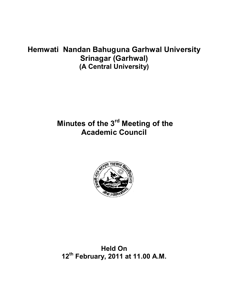# **Hemwati Nandan Bahuguna Garhwal University Srinagar (Garhwal) (A Central University)**

# **Minutes of the 3rd Meeting of the Academic Council**



**Held On 12th February, 2011 at 11.00 A.M.**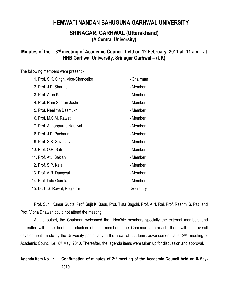# **HEMWATI NANDAN BAHUGUNA GARHWAL UNIVERSITY**

# **SRINAGAR, GARHWAL (Uttarakhand) (A Central University)**

### **Minutes of the 3rd meeting of Academic Council held on 12 February, 2011 at 11 a.m. at HNB Garhwal University, Srinagar Garhwal – (UK)**

The following members were present:-

| 1. Prof. S.K. Singh, Vice-Chancellor | - Chairman |
|--------------------------------------|------------|
| 2. Prof. J.P. Sharma                 | - Member   |
| 3. Prof. Arun Kamal                  | - Member   |
| 4. Prof. Ram Sharan Joshi            | - Member   |
| 5. Prof. Neelima Desmukh             | - Member   |
| 6. Prof. M.S.M. Rawat                | - Member   |
| 7. Prof. Annappurna Nautiyal         | - Member   |
| 8. Prof. J.P. Pachauri               | - Member   |
| 9. Prof. S.K. Srivastava             | - Member   |
| 10. Prof. O.P. Sati                  | - Member   |
| 11. Prof. Atul Saklani               | - Member   |
| 12. Prof. S.P. Kala                  | - Member   |
| 13. Prof. A.R. Dangwal               | - Member   |
| 14. Prof. Lata Gairola               | - Member   |
| 15. Dr. U.S. Rawat, Registrar        | -Secretary |

Prof. Sunil Kumar Gupta, Prof. Sujit K. Basu, Prof. Tista Bagchi, Prof. A.N. Rai, Prof. Rashmi S. Patil and Prof. Vibha Dhawan could not attend the meeting.

At the outset, the Chairman welcomed the Hon'ble members specially the external members and thereafter with the brief introduction of the members, the Chairman appraised them with the overall development made by the University particularly in the area of academic advancement after 2<sup>nd</sup> meeting of Academic Council i.e. 8<sup>th</sup> May, 2010. Thereafter, the agenda items were taken up for discussion and approval.

# **Agenda Item No. 1: Confirmation of minutes of 2nd meeting of the Academic Council held on 8-May-2010**.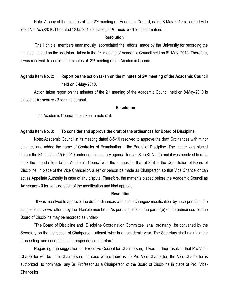Note: A copy of the minutes of the 2<sup>nd</sup> meeting of Academic Council, dated 8-May-2010 circulated vide letter No. Aca./2010/118 dated 12.05.2010 is placed at **Annexure - 1** for confirmation.

### **Resolution**

The Hon'ble members unanimously appreciated the efforts made by the University for recording the minutes based on the decision taken in the 2<sup>nd</sup> meeting of Academic Council held on 8<sup>th</sup> May, 2010. Therefore, it was resolved to confirm the minutes of 2nd meeting of the Academic Council.

# **Agenda Item No. 2: Report on the action taken on the minutes of 2nd meeting of the Academic Council held on 8-May-2010.**

Action taken report on the minutes of the 2<sup>nd</sup> meeting of the Academic Council held on 8-May-2010 is placed at **Annexure - 2** for kind perusal.

### **Resolution**

The Academic Council has taken a note of it.

### **Agenda Item No. 3: To consider and approve the draft of the ordinances for Board of Discipline.**

Note: Academic Council in its meeting dated 8-5-10 resolved to approve the draft Ordinances with minor changes and added the name of Controller of Examination in the Board of Discipline. The matter was placed before the EC held on 15-5-2010 under supplementary agenda item as S-1 (Sl. No. 2) and it was resolved to refer back the agenda item to the Academic Council with the suggestion that at 2(a) in the Constitution of Board of Discipline, in place of the Vice Chancellor, a senior person be made as Chairperson so that Vice Chancellor can act as Appellate Authority in case of any dispute. Therefore, the matter is placed before the Academic Council as **Annexure - 3** for consideration of the modification and kind approval.

### **Resolution**

It was resolved to approve the draft ordinances with minor changes/ modification by incorporating the suggestions/ views offered by the Hon'ble members. As per suggestion, the para 2(b) of the ordinances for the Board of Discipline may be recorded as under:-

"The Board of Discipline and Discipline Coordination Committee shall ordinarily be convened by the Secretary on the instruction of Chairperson atleast twice in an academic year. The Secretary shall maintain the proceeding and conduct the correspondence therefore".

Regarding the suggestion of Executive Council for Chairperson, it was further resolved that Pro Vice-Chancellor will be the Chairperson. In case where there is no Pro Vice-Chancellor, the Vice-Chancellor is authorized to nominate any Sr. Professor as a Chairperson of the Board of Discipline in place of Pro Vice-Chancellor.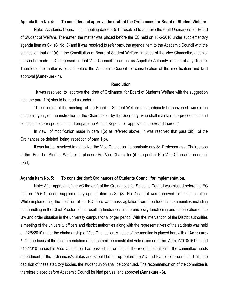### **Agenda Item No. 4: To consider and approve the draft of the Ordinances for Board of Student Welfare**.

Note: Academic Council in its meeting dated 8-5-10 resolved to approve the draft Ordinances for Board of Student of Welfare. Thereafter, the matter was placed before the EC held on 15-5-2010 under supplementary agenda item as S-1 (Sl.No. 3) and it was resolved to refer back the agenda item to the Academic Council with the suggestion that at 1(a) in the Constitution of Board of Student Welfare, in place of the Vice Chancellor, a senior person be made as Chairperson so that Vice Chancellor can act as Appellate Authority in case of any dispute. Therefore, the matter is placed before the Academic Council for consideration of the modification and kind approval **(Annexure - 4).**

### **Resolution**

It was resolved to approve the draft of Ordinance for Board of Students Welfare with the suggestion that the para 1(b) should be read as under:-

"The minutes of the meeting of the Board of Student Welfare shall ordinarily be convened twice in an academic year, on the instruction of the Chairperson, by the Secretary, who shall maintain the proceedings and conduct the correspondence and prepare the Annual Report for approval of the Board thereof."

In view of modification made in para 1(b) as referred above, it was resolved that para 2(b) of the Ordinances be deleted being repetition of para 1(b).

It was further resolved to authorize the Vice-Chancellor to nominate any Sr. Professor as a Chairperson of the Board of Student Welfare in place of Pro Vice-Chancellor (if the post of Pro Vice-Chancellor does not exist).

#### **Agenda Item No. 5**: **To consider draft Ordinances of Students Council for implementation.**

Note: After approval of the AC the draft of the Ordinances for Students Council was placed before the EC held on 15-5-10 under supplementary agenda item as S-1(SI. No. 4) and it was approved for implementation. While implementing the decision of the EC there was mass agitation from the student's communities including manhandling in the Chief Proctor office, resulting hindrances in the university functioning and deterioration of the law and order situation in the university campus for a longer period. With the intervention of the District authorities a meeting of the university officers and district authorities along with the representatives of the students was held on 12/8/2010 under the chairmanship of Vice Chancellor. Minutes of the meeting is placed herewith at **Annexure-5.** On the basis of the recommendation of the committee constituted vide office order no. Admin/2010/1612 dated 31/8/2010 honorable Vice Chancellor has passed the order that the recommendation of the committee needs amendment of the ordinances/statutes and should be put up before the AC and EC for consideration. Untill the decision of these statutory bodies, the student union shall be continued. The recommendation of the committee is therefore placed before Academic Council for kind perusal and approval **(Annexure - 6).**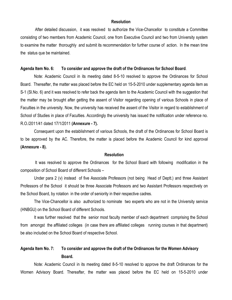After detailed discussion, it was resolved to authorize the Vice-Chancellor to constitute a Committee consisting of two members from Academic Council, one from Executive Council and two from University system to examine the matter thoroughly and submit its recommendation for further course of action. In the mean time the status que be maintained.

#### **Agenda Item No. 6: To consider and approve the draft of the Ordinances for School Board**.

Note: Academic Council in its meeting dated 8-5-10 resolved to approve the Ordinances for School Board. Thereafter, the matter was placed before the EC held on 15-5-2010 under supplementary agenda item as S-1 (Sl.No. 6) and it was resolved to refer back the agenda item to the Academic Council with the suggestion that the matter may be brought after getting the assent of Visitor regarding opening of various Schools in place of Faculties in the university. Now, the university has received the assent of the Visitor in regard to establishment of School of Studies in place of Faculties. Accordingly the university has issued the notification under reference no. R.O./2011/41 dated 17/1/2011 **(Annexure - 7).**

Consequent upon the establishment of various Schools, the draft of the Ordinances for School Board is to be approved by the AC. Therefore, the matter is placed before the Academic Council for kind approval **(Annexure - 8).**

### **Resolution**

It was resolved to approve the Ordinances for the School Board with following modification in the composition of School Board of different Schools –

Under para 2 (v) instead of five Associate Professors (not being Head of Deptt.) and three Assistant Professors of the School it should be three Associate Professors and two Assistant Professors respectively on the School Board, by rotation in the order of seniority in their respective cadres.

The Vice-Chancellor is also authorized to nominate two experts who are not in the University service (HNBGU) on the School Board of different Schools.

It was further resolved that the senior most faculty member of each department comprising the School from amongst the affiliated colleges (in case there are affiliated colleges running courses in that department) be also included on the School Board of respective School.

### **Agenda Item No. 7: To consider and approve the draft of the Ordinances for the Women Advisory Board.**

Note: Academic Council in its meeting dated 8-5-10 resolved to approve the draft Ordinances for the Women Advisory Board. Thereafter, the matter was placed before the EC held on 15-5-2010 under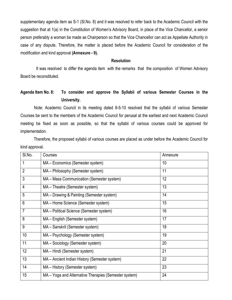supplementary agenda item as S-1 (Sl.No. 8) and it was resolved to refer back to the Academic Council with the suggestion that at 1(a) in the Constitution of Women's Advisory Board, in place of the Vice Chancellor, a senior person preferably a woman be made as Chairperson so that the Vice Chancellor can act as Appellate Authority in case of any dispute. Therefore, the matter is placed before the Academic Council for consideration of the modification and kind approval **(Annexure - 9).**

### **Resolution**

 It was resolved to differ the agenda item with the remarks that the composition of Women Advisory Board be reconstituted.

# **Agenda Item No. 8: To consider and approve the Syllabii of various Semester Courses in the University.**

Note: Academic Council in its meeting dated 8-5-10 resolved that the syllabii of various Semester Courses be sent to the members of the Academic Council for perusal at the earliest and next Academic Council meeting be fixed as soon as possible, so that the syllabii of various courses could be approved for implementation.

 Therefore, the proposed syllabii of various courses are placed as under before the Academic Council for kind approval.

| SI.No.         | Courses                                               | Annexure |
|----------------|-------------------------------------------------------|----------|
| $\mathbf 1$    | MA – Economics (Semester system)                      | 10       |
| $\overline{2}$ | MA - Philosophy (Semester system)                     | 11       |
| $\mathfrak{3}$ | MA – Mass Communication (Semester system)             | 12       |
| $\overline{4}$ | MA - Theatre (Semester system)                        | 13       |
| 5              | MA - Drawing & Painting (Semester system)             | 14       |
| $6\phantom{1}$ | MA – Home Science (Semester system)                   | 15       |
| $\overline{7}$ | MA - Political Science (Semester system)              | 16       |
| 8              | MA - English (Semester system)                        | 17       |
| 9              | MA - Sanskrit (Semester system)                       | 18       |
| 10             | MA - Psychology (Semester system)                     | 19       |
| 11             | MA – Sociology (Semester system)                      | 20       |
| 12             | MA – Hindi (Semester system)                          | 21       |
| 13             | MA - Ancient Indian History (Semester system)         | 22       |
| 14             | MA - History (Semester system)                        | 23       |
| 15             | MA - Yoga and Alternative Therapies (Semester system) | 24       |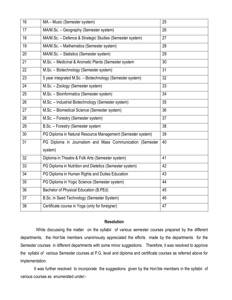| 16              | MA - Music (Semester system)                                | 25 |
|-----------------|-------------------------------------------------------------|----|
| 17              | MA/M.Sc. - Geography (Semester system)                      | 26 |
| 18              | MA/M.Sc. - Defence & Strategic Studies (Semester system)    | 27 |
| 19              | MA/M.Sc. - Mathematics (Semester system)                    | 28 |
| 20              | MA/M.Sc. - Statistics (Semester system)                     | 29 |
| 21              | M.Sc. - Medicinal & Aromatic Plants (Semester system        | 30 |
| 22              | M.Sc. - Biotechnology (Semester system)                     | 31 |
| $\overline{23}$ | 5 year integrated M.Sc. - Biotechnology (Semester system)   | 32 |
| 24              | M.Sc. - Zoology (Semester system)                           | 33 |
| 25              | M.Sc. - Bioinformatics (Semester system)                    | 34 |
| 26              | M.Sc. - Industrial Biotechnology (Semester system)          | 35 |
| 27              | M.Sc. - Biomedical Science (Semester system)                | 36 |
| 28              | M.Sc. - Forestry (Semester system)                          | 37 |
| 29              | B.Sc. - Forestry (Semester system                           | 38 |
| 30              | PG Diploma in Natural Resource Management (Semester system) | 39 |
| 31              | PG Diploma in Journalism and Mass Communication (Semester   | 40 |
|                 | system)                                                     |    |
| 32              | Diploma in Theatre & Folk Arts (Semester system)            | 41 |
| 33              | PG Diploma in Nutrition and Dietetics (Semester system)     | 42 |
| $\overline{34}$ | PG Diploma in Human Rights and Duties Education             | 43 |
| 35              | PG Diploma in Yogic Science (Semester system)               | 44 |
| 36              | Bachelor of Physical Education (B.PEd)                      | 45 |
| 37              | B.Sc. in Seed Technology (Semester System)                  | 46 |
| 38              | Certificate course in Yoga (only for foreigner)             | 47 |

While discussing the matter on the syllabii of various semester courses prepared by the different departments, the Hon'ble members unanimously appreciated the efforts made by the departments for the Semester courses in different departments with some minor suggestions. Therefore, it was resolved to approve the syllabii of various Semester courses at P.G. level and diploma and certificate courses as referred above for implementation.

It was further resolved to incorporate the suggestions given by the Hon'ble members in the syllabii of various courses as enumerated under:-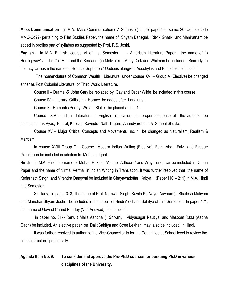**Mass Communication** – In M.A. Mass Communication (IV Semester) under paper/course no. 20 (Course code MMC-Co22) pertaining to Film Studies Paper, the name of Shyam Benegal, Ritvik Ghatik and Maniratnam be added in profiles part of syllabus as suggested by Prof. R.S. Joshi.

**English** – In M.A. English, course VI of Ist Semester - American Literature Paper, the name of (i) Hemingway's – The Old Man and the Sea and (ii) Melville's – Moby Dick and Whitman be included. Similarly, in Literacy Criticism the name of Horace Sophocles' Oedipus alongwith Aeschylus and Euripides be included.

 The nomenclature of Common Wealth Literature under course XVI – Group A (Elective) be changed either as Post Colonial Literature or Third World Literature.

Course II – Drama -5 John Gary be replaced by Gay and Oscar Wilde be included in this course.

Course IV – Literary Critisism - Horace be added after Longinus.

Course X - Romantic Poetry, William Blake be placed at no. 1.

Course XIV - Indian Literature in English Translation, the proper sequence of the authors be maintained as Vyas, Bharat, Kalidas, Ravindra Nath Tagore, Anandvardhana & Shrieal Shukla.

Course XV – Major Critical Concepts and Movements no. 1 be changed as Naturalism, Realism & Marxism.

In course XVIII Group C – Course Modern Indian Writing (Elective), Faiz Ahd. Faiz and Firaque Gorakhpuri be included in addition to Mohmad Iqbal.

**Hindi** – In M.A. Hindi the name of Mohan Rakesh "Aadhe Adhoore" and Vijay Tendulkar be included in Drama Paper and the name of Nirmal Verma in Indian Writing in Translation. It was further resolved that the name of Kedarnath Singh and Virendra Dangwal be included in Chayawadottar Kabya (Paper HC – 211) in M.A. Hindi IInd Semester.

Similarly, in paper 313, the name of Prof. Namwar Singh (Kavita Ke Naye Aayaam ), Shailesh Matiyani and Manohar Shyam Joshi be included in the paper of Hindi Alochana Sahitya of IIIrd Semester. In paper 421, the name of Govind Chand Pandey (Ved Anuwad) be included.

in paper no. 317- Renu ( Maila Aanchal ), Shivani, Vidyasagar Nautiyal and Masoom Raza (Aadha Gaon) be included. An elective paper on Dalit Sahitya and Stree Lekhan may also be included in Hindi.

It was further resolved to authorize the Vice-Chancellor to form a Committee at School level to review the course structure periodically.

# **Agenda Item No. 9: To consider and approve the Pre-Ph.D courses for pursuing Ph.D in various disciplines of the University.**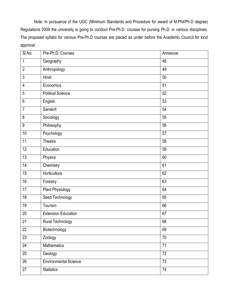Note: In pursuance of the UGC (Minimum Standards and Procedure for award of M.Phil/Ph.D degree) Regulations 2009 the university is going to conduct Pre-Ph.D. courses for pursing Ph.D. in various disciplines. The proposed syllabii for various Pre-Ph.D courses are placed as under before the Academic Council for kind approval.

| SI.No.           | Pre-Ph.D. Courses            | Annexure        |
|------------------|------------------------------|-----------------|
| $\mathbf 1$      | Geography                    | 48              |
| $\overline{2}$   | Anthropology                 | 49              |
| $\overline{3}$   | Hindi                        | 50              |
| $\overline{4}$   | Economics                    | 51              |
| $\overline{5}$   | <b>Political Science</b>     | 52              |
| $6\phantom{.}$   | English                      | 53              |
| $\overline{7}$   | Sanskrit                     | 54              |
| 8                | Sociology                    | 55              |
| $\boldsymbol{9}$ | Philosophy                   | 56              |
| 10               | Psychology                   | 57              |
| $\overline{11}$  | Theatre                      | 58              |
| 12               | Education                    | 59              |
| 13               | Physics                      | 60              |
| 14               | Chemistry                    | 61              |
| 15               | Horticulture                 | 62              |
| 16               | Forestry                     | 63              |
| 17               | <b>Plant Physiology</b>      | 64              |
| 18               | <b>Seed Technology</b>       | 65              |
| 19               | Tourism                      | 66              |
| 20               | <b>Extension Education</b>   | 67              |
| 21               | Rural Technology             | 68              |
| 22               | Biotechnology                | 69              |
| 23               | Zoology                      | 70              |
| 24               | Mathematics                  | $\overline{71}$ |
| 25               | Geology                      | 72              |
| 26               | <b>Environmental Science</b> | $\overline{73}$ |
| 27               | <b>Statistics</b>            | 74              |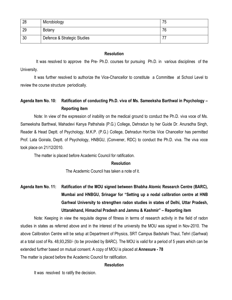| 28 | Microbiology                | 75 |
|----|-----------------------------|----|
| 29 | Botany                      | 76 |
| 30 | Defence & Strategic Studies |    |

 It was resolved to approve the Pre- Ph.D. courses for pursuing Ph.D. in various disciplines of the University.

It was further resolved to authorize the Vice-Chancellor to constitute a Committee at School Level to review the course structure periodically.

# **Agenda Item No. 10: Ratification of conducting Ph.D. viva of Ms. Sameeksha Barthwal in Psychology – Reporting item**

Note: In view of the expression of inability on the medical ground to conduct the Ph.D. viva voce of Ms. Sameeksha Barthwal, Mahadevi Kanya Pathshala (P.G.) College, Dehradun by her Guide Dr. Anuradha Singh, Reader & Head Deptt. of Psychology, M.K.P. (P.G.) College, Dehradun Hon'ble Vice Chancellor has permitted Prof. Lata Goirala, Deptt. of Psychology, HNBGU, (Convener, RDC) to conduct the Ph.D. viva. The viva voce took place on 21/12/2010.

The matter is placed before Academic Council for ratification.

### **Resolution**

The Academic Council has taken a note of it.

# **Agenda Item No. 11: Ratification of the MOU signed between Bhabha Atomic Research Centre (BARC), Mumbai and HNBGU, Srinagar for "Setting up a nodal calibration centre at HNB Garhwal University to strengthen radon studies in states of Delhi, Uttar Pradesh, Uttarakhand, Himachal Pradesh and Jammu & Kashmir" – Reporting item**

Note: Keeping in view the requisite degree of fitness in terms of research activity in the field of radon studies in states as referred above and in the interest of the university the MOU was signed in Nov-2010. The above Calibration Centre will be setup at Department of Physics, SRT Campus Badshahi Thaul, Tehri (Garhwal) at a total cost of Rs. 48,93,250/- (to be provided by BARC). The MOU is valid for a period of 5 years which can be extended further based on mutual consent. A copy of MOU is placed at **Annexure - 78** The matter is placed before the Academic Council for ratification.

### **Resolution**

It was resolved to ratify the decision.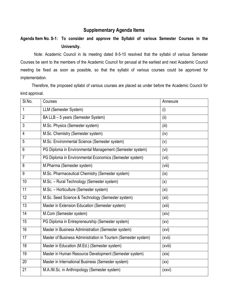### **Supplementary Agenda Items**

# **Agenda Item No. S-1: To consider and approve the Syllabii of various Semester Courses in the University.**

Note: Academic Council in its meeting dated 8-5-10 resolved that the syllabii of various Semester Courses be sent to the members of the Academic Council for perusal at the earliest and next Academic Council meeting be fixed as soon as possible, so that the syllabii of various courses could be approved for implementation.

 Therefore, the proposed syllabii of various courses are placed as under before the Academic Council for kind approval.

| SI.No.         | Courses                                                        | Annexure          |
|----------------|----------------------------------------------------------------|-------------------|
| 1              | LLM (Semester System)                                          | (i)               |
| $\overline{2}$ | BA LLB - 5 years (Semester System)                             | (ii)              |
| 3              | M.Sc. Physics (Semester system)                                | (iii)             |
| 4              | M.Sc. Chemistry (Semester system)                              | (iv)              |
| 5              | M.Sc. Environmental Science (Semester system)                  | (v)               |
| 6              | PG Diploma in Environmental Management (Semester system)       | (vi)              |
| $\overline{7}$ | PG Diploma in Environmental Economics (Semester system)        | (vii)             |
| 8              | M.Pharma (Semester system)                                     | (viii)            |
| 9              | M.Sc. Pharmaceutical Chemistry (Semester system)               | (ix)              |
| 10             | M.Sc. - Rural Technology (Semester system)                     | (x)               |
| 11             | M.Sc. - Horticulture (Semester system)                         | (x <sub>i</sub> ) |
| 12             | M.Sc. Seed Science & Technology (Semester system)              | (xii)             |
| 13             | Master in Extension Education (Semester system)                | (xiii)            |
| 14             | M.Com (Semester system)                                        | (xiv)             |
| 15             | PG Diploma in Entrepreneurship (Semester system)               | (xv)              |
| 16             | Master in Business Administration (Semester system)            | (xvi)             |
| 17             | Master of Business Administration in Tourism (Semester system) | (xvii)            |
| 18             | Master in Education (M.Ed.) (Semester system)                  | (xviii)           |
| 19             | Master in Human Resource Development (Semester system)         | (xix)             |
| 20             | Master in International Business (Semester system)             | (xx)              |
| 21             | M.A./M.Sc. in Anthropology (Semester system)                   | (xxvi)            |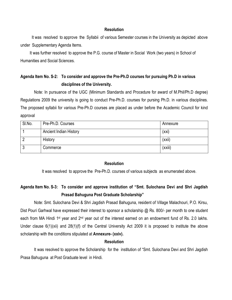It was resolved to approve the Syllabii of various Semester courses in the University as depicted above under Supplementary Agenda Items.

 It was further resolved to approve the P.G. course of Master in Social Work (two years) in School of Humanities and Social Sciences.

# **Agenda Item No. S-2: To consider and approve the Pre-Ph.D courses for pursuing Ph.D in various disciplines of the University.**

Note: In pursuance of the UGC (Minimum Standards and Procedure for award of M.Phil/Ph.D degree) Regulations 2009 the university is going to conduct Pre-Ph.D. courses for pursing Ph.D. in various disciplines. The proposed syllabii for various Pre-Ph.D courses are placed as under before the Academic Council for kind approval

| SI.No. | Pre-Ph.D. Courses             | Annexure |
|--------|-------------------------------|----------|
|        | <b>Ancient Indian History</b> | (xxi)    |
|        | History                       | (xxiii)  |
| J      | Commerce                      | (xxiii)  |

### **Resolution**

It was resolved to approve the Pre-Ph.D. courses of various subjects as enumerated above.

# **Agenda Item No. S-3: To consider and approve institution of "Smt. Sulochana Devi and Shri Jagdish Prasad Bahuguna Post Graduate Scholarship"**

Note: Smt. Sulochana Devi & Shri Jagdish Prasad Bahuguna, resident of Village Malachouri, P.O. Kirsu, Dist Pouri Garhwal have expressed their interest to sponsor a scholarship @ Rs. 800/- per month to one student each from MA Hindi 1<sup>st</sup> year and 2<sup>nd</sup> year out of the interest earned on an endowment fund of Rs. 2.0 lakhs. Under clause 6(1)(xii) and 28(1)(f) of the Central University Act 2009 it is proposed to institute the above scholarship with the conditions stipulated at **Annexure- (xxiv).**

### **Resolution**

It was resolved to approve the Scholarship for the institution of "Smt. Sulochana Devi and Shri Jagdish Prasa Bahuguna at Post Graduate level in Hindi.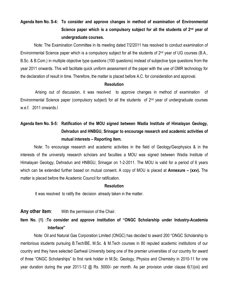# **Agenda Item No. S-4: To consider and approve changes in method of examination of Environmental Science paper which is a compulsory subject for all the students of 2nd year of undergraduate courses.**

Note: The Examination Committee in its meeting dated 7/2/2011 has resolved to conduct examination of Environmental Science paper which is a compulsory subject for all the students of 2<sup>nd</sup> year of UG courses (B.A., B.Sc. & B.Com.) in multiple objective type questions (100 questions) instead of subjective type questions from the year 2011 onwards. This will facilitate quick uniform assessment of the paper with the use of OMR technology for the declaration of result in time. Therefore, the matter is placed before A.C. for consideration and approval.

### **Resolution**

Arising out of discussion, it was resolved to approve changes in method of examination of Environmental Science paper (compulsory subject) for all the students of  $2<sup>nd</sup>$  year of undergraduate courses w.e.f. 2011 onwards.l

# **Agenda Item No. S-5: Ratification of the MOU signed between Wadia Institute of Himalayan Geology, Dehradun and HNBGU, Srinagar to encourage research and academic activities of mutual interests – Reporting item.**

Note: To encourage research and academic activities in the field of Geology/Geophysics & in the interests of the university research scholars and faculties a MOU was signed between Wadia Institute of Himalayan Geology, Dehradun and HNBGU, Srinagar on 1-2-2011. The MOU is valid for a period of 6 years which can be extended further based on mutual consent. A copy of MOU is placed at **Annexure – (xxv).** The matter is placed before the Academic Council for ratification.

### **Resolution**

It was resolved to ratify the decision already taken in the matter.

### **Any other item**: With the permission of the Chair.

# **Item No. (1) :To consider and approve institution of "ONGC Scholarship under Industry-Academia Interface"**

Note: Oil and Natural Gas Corporation Limited (ONGC) has decided to award 200 "ONGC Scholarship to meritorious students pursuing B.Tech/BE, M.Sc. & M.Tech courses in 80 reputed academic institutions of our country and they have selected Garhwal University being one of the premier universities of our country for award of three "ONGC Scholarships" to first rank holder in M.Sc. Geology, Physics and Chemistry in 2010-11 for one year duration during the year 2011-12 @ Rs. 5000/- per month. As per provision under clause 6(1)(xii) and